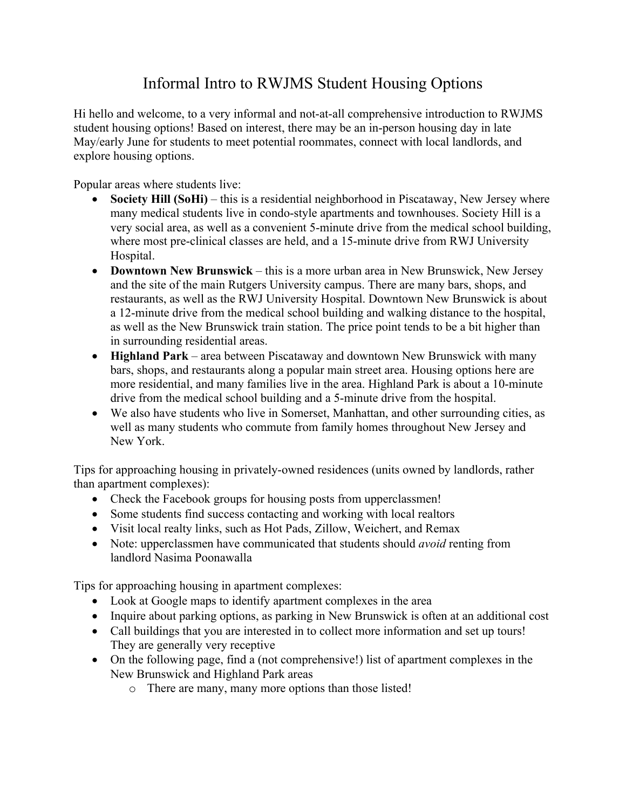## Informal Intro to RWJMS Student Housing Options

Hi hello and welcome, to a very informal and not-at-all comprehensive introduction to RWJMS student housing options! Based on interest, there may be an in-person housing day in late May/early June for students to meet potential roommates, connect with local landlords, and explore housing options.

Popular areas where students live:

- **Society Hill (SoHi)** this is a residential neighborhood in Piscataway, New Jersey where many medical students live in condo-style apartments and townhouses. Society Hill is a very social area, as well as a convenient 5-minute drive from the medical school building, where most pre-clinical classes are held, and a 15-minute drive from RWJ University Hospital.
- **Downtown New Brunswick**  this is a more urban area in New Brunswick, New Jersey and the site of the main Rutgers University campus. There are many bars, shops, and restaurants, as well as the RWJ University Hospital. Downtown New Brunswick is about a 12-minute drive from the medical school building and walking distance to the hospital, as well as the New Brunswick train station. The price point tends to be a bit higher than in surrounding residential areas.
- **Highland Park** area between Piscataway and downtown New Brunswick with many bars, shops, and restaurants along a popular main street area. Housing options here are more residential, and many families live in the area. Highland Park is about a 10-minute drive from the medical school building and a 5-minute drive from the hospital.
- We also have students who live in Somerset, Manhattan, and other surrounding cities, as well as many students who commute from family homes throughout New Jersey and New York.

Tips for approaching housing in privately-owned residences (units owned by landlords, rather than apartment complexes):

- Check the Facebook groups for housing posts from upperclassmen!
- Some students find success contacting and working with local realtors
- Visit local realty links, such as Hot Pads, Zillow, Weichert, and Remax
- Note: upperclassmen have communicated that students should *avoid* renting from landlord Nasima Poonawalla

Tips for approaching housing in apartment complexes:

- Look at Google maps to identify apartment complexes in the area
- Inquire about parking options, as parking in New Brunswick is often at an additional cost
- Call buildings that you are interested in to collect more information and set up tours! They are generally very receptive
- On the following page, find a (not comprehensive!) list of apartment complexes in the New Brunswick and Highland Park areas
	- o There are many, many more options than those listed!